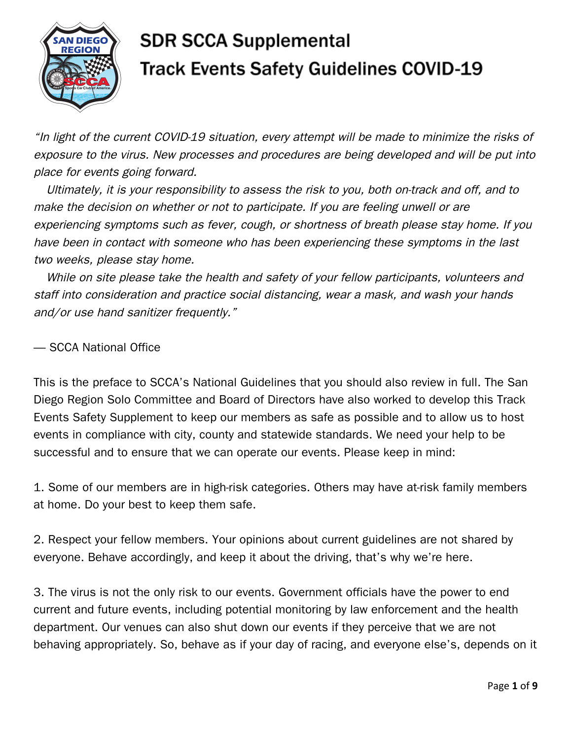

"In light of the current COVID-19 situation, every attempt will be made to minimize the risks of exposure to the virus. New processes and procedures are being developed and will be put into place for events going forward.

Ultimately, it is your responsibility to assess the risk to you, both on-track and off, and to make the decision on whether or not to participate. If you are feeling unwell or are experiencing symptoms such as fever, cough, or shortness of breath please stay home. If you have been in contact with someone who has been experiencing these symptoms in the last two weeks, please stay home.

While on site please take the health and safety of your fellow participants, volunteers and staff into consideration and practice social distancing, wear <sup>a</sup> mask, and wash your hands and/or use hand sanitizer frequently."

## — SCCA National Office

This is the preface to SCCA's National Guidelines that you should also review in full. The San Diego Region Solo Committee and Board of Directors have also worked to develop this Track Events Safety Supplement to keep our members as safe as possible and to allow us to host events in compliance with city, county and statewide standards. We need your help to be successful and to ensure that we can operate our events. Please keep in mind:

1. Some of our members are in high-risk categories. Others may have at-risk family members at home. Do your best to keep them safe.

2. Respect your fellow members. Your opinions about current guidelines are not shared by everyone. Behave accordingly, and keep it about the driving, that's why we're here.

3. The virus is not the only risk to our events. Government officials have the power to end current and future events, including potential monitoring by law enforcement and the health department. Our venues can also shut down our events if they perceive that we are not behaving appropriately. So, behave as if your day of racing, and everyone else's, depends on it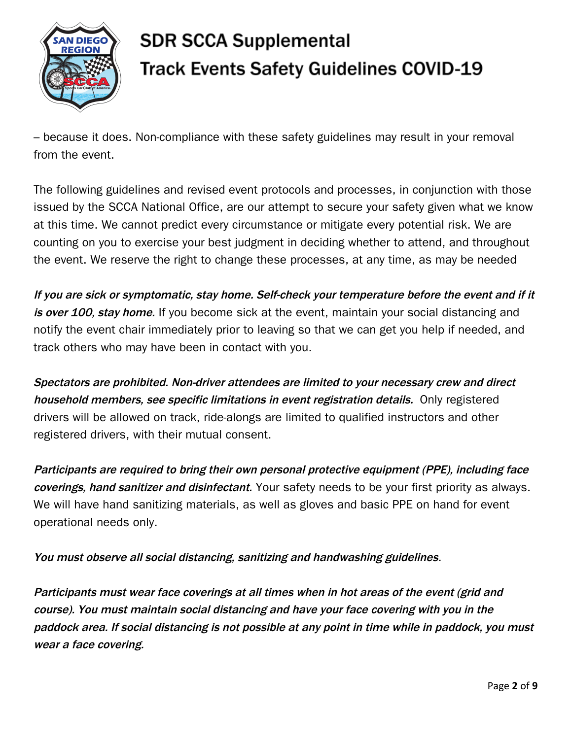

– because it does. Non-compliance with these safety guidelines may result in your removal from the event.

The following guidelines and revised event protocols and processes, in conjunction with those issued by the SCCA National Office, are our attempt to secure your safety given what we know at this time. We cannot predict every circumstance or mitigate every potential risk. We are counting on you to exercise your best judgment in deciding whether to attend, and throughout the event. We reserve the right to change these processes, at any time, as may be needed

If you are sick or symptomatic, stay home. Self-check your temperature before the event and if it is over 100, stay home. If you become sick at the event, maintain your social distancing and notify the event chair immediately prior to leaving so that we can get you help if needed, and track others who may have been in contact with you.

Spectators are prohibited. Non-driver attendees are limited to your necessary crew and direct household members, see specific limitations in event registration details. Only registered drivers will be allowed on track, ride-alongs are limited to qualified instructors and other registered drivers, with their mutual consent.

Participants are required to bring their own personal protective equipment (PPE), including face coverings, hand sanitizer and disinfectant. Your safety needs to be your first priority as always. We will have hand sanitizing materials, as well as gloves and basic PPE on hand for event operational needs only.

You must observe all social distancing, sanitizing and handwashing guidelines.

Participants must wear face coverings at all times when in hot areas of the event (grid and course). You must maintain social distancing and have your face covering with you in the paddock area. If social distancing is not possible at any point in time while in paddock, you must wear <sup>a</sup> face covering.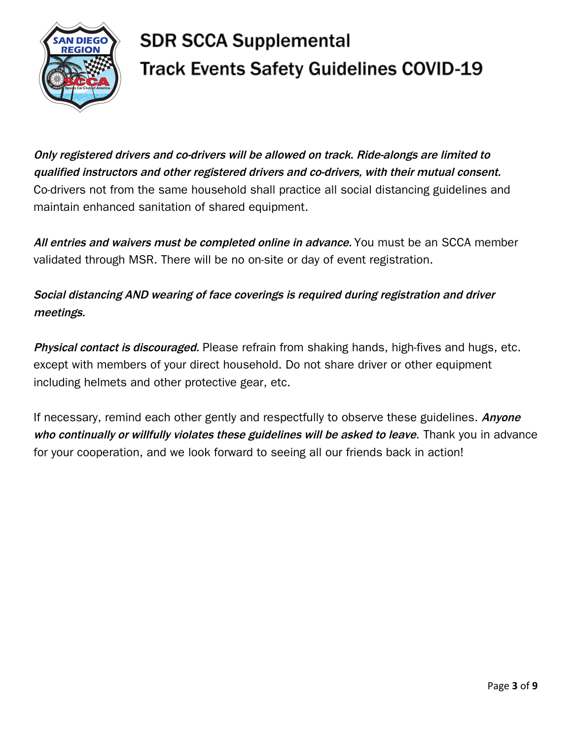

Only registered drivers and co-drivers will be allowed on track. Ride-alongs are limited to qualified instructors and other registered drivers and co-drivers, with their mutual consent. Co-drivers not from the same household shall practice all social distancing guidelines and maintain enhanced sanitation of shared equipment.

All entries and waivers must be completed online in advance. You must be an SCCA member validated through MSR. There will be no on-site or day of event registration.

Social distancing AND wearing of face coverings is required during registration and driver meetings.

**Physical contact is discouraged.** Please refrain from shaking hands, high-fives and hugs, etc. except with members of your direct household. Do not share driver or other equipment including helmets and other protective gear, etc.

If necessary, remind each other gently and respectfully to observe these guidelines. Anyone who continually or willfully violates these guidelines will be asked to leave. Thank you in advance for your cooperation, and we look forward to seeing all our friends back in action!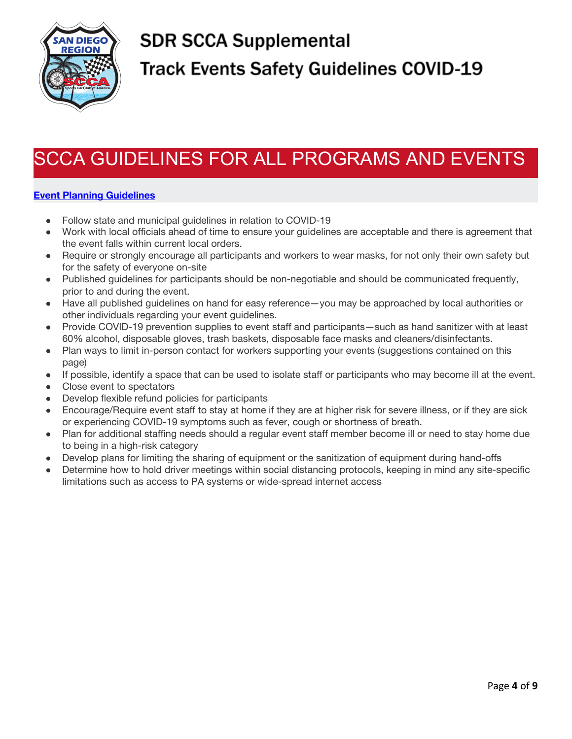

# SCCA GUIDELINES FOR ALL PROGRAMS AND EVENTS

## **[Event Planning Guidelines](https://www.scca.com/pages/solo-1588021531-21#accordion_item_88824)**

- Follow state and municipal guidelines in relation to COVID-19
- Work with local officials ahead of time to ensure your guidelines are acceptable and there is agreement that the event falls within current local orders.
- Require or strongly encourage all participants and workers to wear masks, for not only their own safety but for the safety of everyone on-site
- Published guidelines for participants should be non-negotiable and should be communicated frequently, prior to and during the event.
- Have all published guidelines on hand for easy reference—you may be approached by local authorities or other individuals regarding your event guidelines.
- Provide COVID-19 prevention supplies to event staff and participants—such as hand sanitizer with at least 60% alcohol, disposable gloves, trash baskets, disposable face masks and cleaners/disinfectants.
- Plan ways to limit in-person contact for workers supporting your events (suggestions contained on this page)
- If possible, identify a space that can be used to isolate staff or participants who may become ill at the event.
- Close event to spectators
- Develop flexible refund policies for participants
- Encourage/Require event staff to stay at home if they are at higher risk for severe illness, or if they are sick or experiencing COVID-19 symptoms such as fever, cough or shortness of breath.
- Plan for additional staffing needs should a regular event staff member become ill or need to stay home due to being in a high-risk category
- Develop plans for limiting the sharing of equipment or the sanitization of equipment during hand-offs
- Determine how to hold driver meetings within social distancing protocols, keeping in mind any site-specific limitations such as access to PA systems or wide-spread internet access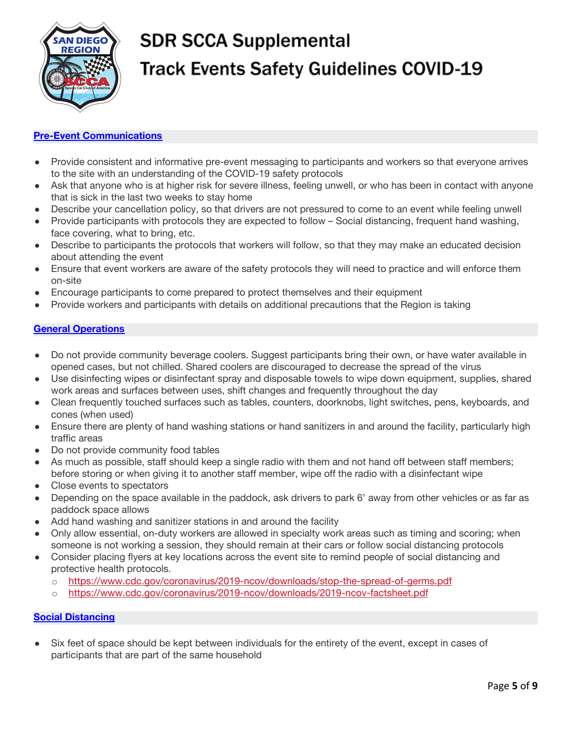

# **Track Events Safety Guidelines COVID-19**

## **[Pre-Event Communications](https://www.scca.com/pages/solo-1588021531-21#accordion_item_88825)**

- Provide consistent and informative pre-event messaging to participants and workers so that everyone arrives to the site with an understanding of the COVID-19 safety protocols
- Ask that anyone who is at higher risk for severe illness, feeling unwell, or who has been in contact with anyone that is sick in the last two weeks to stay home
- Describe your cancellation policy, so that drivers are not pressured to come to an event while feeling unwell
- Provide participants with protocols they are expected to follow Social distancing, frequent hand washing, face covering, what to bring, etc.
- Describe to participants the protocols that workers will follow, so that they may make an educated decision about attending the event
- Ensure that event workers are aware of the safety protocols they will need to practice and will enforce them on-site
- Encourage participants to come prepared to protect themselves and their equipment
- Provide workers and participants with details on additional precautions that the Region is taking

### **[General Operations](https://www.scca.com/pages/solo-1588021531-21#accordion_item_88826)**

- Do not provide community beverage coolers. Suggest participants bring their own, or have water available in opened cases, but not chilled. Shared coolers are discouraged to decrease the spread of the virus
- Use disinfecting wipes or disinfectant spray and disposable towels to wipe down equipment, supplies, shared work areas and surfaces between uses, shift changes and frequently throughout the day
- Clean frequently touched surfaces such as tables, counters, doorknobs, light switches, pens, keyboards, and cones (when used)
- Ensure there are plenty of hand washing stations or hand sanitizers in and around the facility, particularly high traffic areas
- Do not provide community food tables
- As much as possible, staff should keep a single radio with them and not hand off between staff members; before storing or when giving it to another staff member, wipe off the radio with a disinfectant wipe
- Close events to spectators
- Depending on the space available in the paddock, ask drivers to park 6' away from other vehicles or as far as paddock space allows
- Add hand washing and sanitizer stations in and around the facility
- Only allow essential, on-duty workers are allowed in specialty work areas such as timing and scoring; when someone is not working a session, they should remain at their cars or follow social distancing protocols
- Consider placing flyers at key locations across the event site to remind people of social distancing and protective health protocols.
	- o <https://www.cdc.gov/coronavirus/2019-ncov/downloads/stop-the-spread-of-germs.pdf>
	- o <https://www.cdc.gov/coronavirus/2019-ncov/downloads/2019-ncov-factsheet.pdf>

### **[Social Distancing](https://www.scca.com/pages/solo-1588021531-21#accordion_item_88827)**

Six feet of space should be kept between individuals for the entirety of the event, except in cases of participants that are part of the same household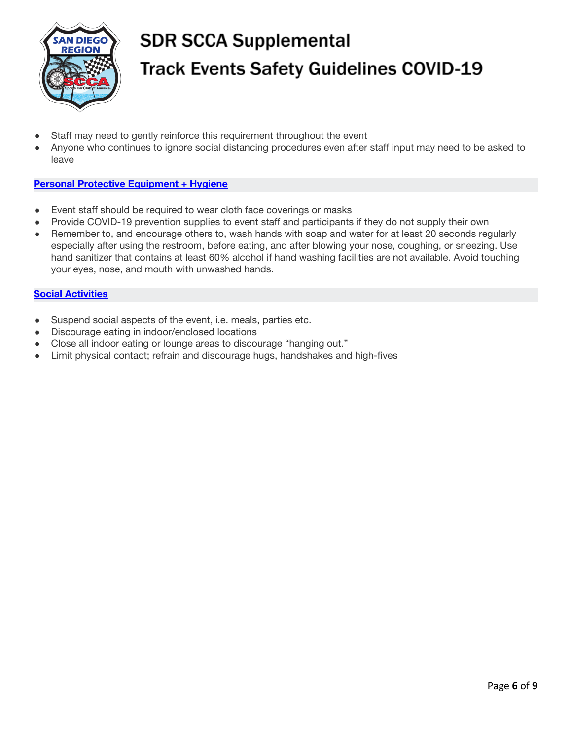

# **Track Events Safety Guidelines COVID-19**

- Staff may need to gently reinforce this requirement throughout the event
- Anyone who continues to ignore social distancing procedures even after staff input may need to be asked to leave

### **[Personal Protective Equipment + Hygiene](https://www.scca.com/pages/solo-1588021531-21#accordion_item_88828)**

- Event staff should be required to wear cloth face coverings or masks
- Provide COVID-19 prevention supplies to event staff and participants if they do not supply their own
- Remember to, and encourage others to, wash hands with soap and water for at least 20 seconds regularly especially after using the restroom, before eating, and after blowing your nose, coughing, or sneezing. Use hand sanitizer that contains at least 60% alcohol if hand washing facilities are not available. Avoid touching your eyes, nose, and mouth with unwashed hands.

### **[Social Activities](https://www.scca.com/pages/solo-1588021531-21#accordion_item_88829)**

- Suspend social aspects of the event, i.e. meals, parties etc.
- Discourage eating in indoor/enclosed locations
- Close all indoor eating or lounge areas to discourage "hanging out."
- Limit physical contact; refrain and discourage hugs, handshakes and high-fives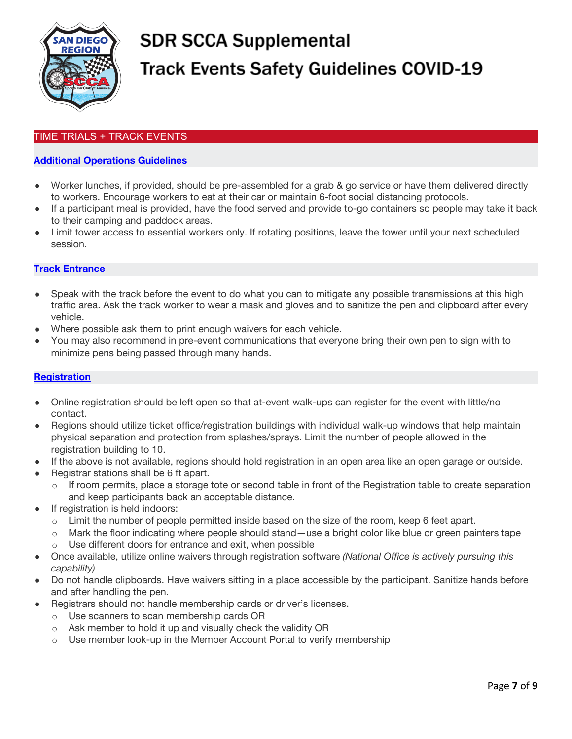

## TIME TRIALS + TRACK EVENTS

### **[Additional Operations Guidelines](https://www.scca.com/pages/time-trials-track-events#accordion_item_88832)**

- Worker lunches, if provided, should be pre-assembled for a grab & go service or have them delivered directly to workers. Encourage workers to eat at their car or maintain 6-foot social distancing protocols.
- If a participant meal is provided, have the food served and provide to-go containers so people may take it back to their camping and paddock areas.
- Limit tower access to essential workers only. If rotating positions, leave the tower until your next scheduled session.

### **[Track Entrance](https://www.scca.com/pages/time-trials-track-events#accordion_item_88833)**

- Speak with the track before the event to do what you can to mitigate any possible transmissions at this high traffic area. Ask the track worker to wear a mask and gloves and to sanitize the pen and clipboard after every vehicle.
- Where possible ask them to print enough waivers for each vehicle.
- You may also recommend in pre-event communications that everyone bring their own pen to sign with to minimize pens being passed through many hands.

### **[Registration](https://www.scca.com/pages/time-trials-track-events#accordion_item_88834)**

- Online registration should be left open so that at-event walk-ups can register for the event with little/no contact.
- Regions should utilize ticket office/registration buildings with individual walk-up windows that help maintain physical separation and protection from splashes/sprays. Limit the number of people allowed in the registration building to 10.
- If the above is not available, regions should hold registration in an open area like an open garage or outside.
- Registrar stations shall be 6 ft apart.
	- $\circ$  If room permits, place a storage tote or second table in front of the Registration table to create separation and keep participants back an acceptable distance.
- If registration is held indoors:
	- o Limit the number of people permitted inside based on the size of the room, keep 6 feet apart.
	- o Mark the floor indicating where people should stand—use a bright color like blue or green painters tape
	- o Use different doors for entrance and exit, when possible
- Once available, utilize online waivers through registration software *(National Office is actively pursuing this capability)*
- Do not handle clipboards. Have waivers sitting in a place accessible by the participant. Sanitize hands before and after handling the pen.
- Registrars should not handle membership cards or driver's licenses.
	- o Use scanners to scan membership cards OR
	- o Ask member to hold it up and visually check the validity OR
	- $\circ$  Use member look-up in the Member Account Portal to verify membership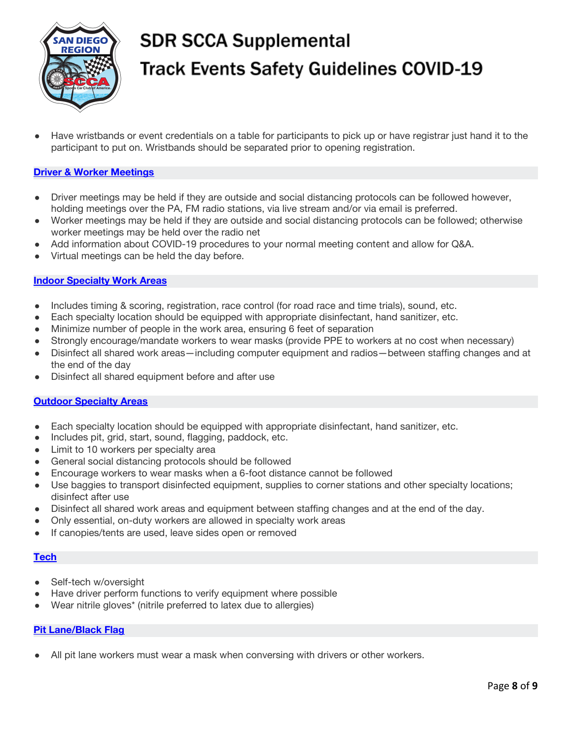

# **Track Events Safety Guidelines COVID-19**

Have wristbands or event credentials on a table for participants to pick up or have registrar just hand it to the participant to put on. Wristbands should be separated prior to opening registration.

### **[Driver & Worker Meetings](https://www.scca.com/pages/time-trials-track-events#accordion_item_88835)**

- Driver meetings may be held if they are outside and social distancing protocols can be followed however, holding meetings over the PA, FM radio stations, via live stream and/or via email is preferred.
- Worker meetings may be held if they are outside and social distancing protocols can be followed; otherwise worker meetings may be held over the radio net
- Add information about COVID-19 procedures to your normal meeting content and allow for Q&A.
- Virtual meetings can be held the day before.

#### **[Indoor Specialty Work Areas](https://www.scca.com/pages/time-trials-track-events#accordion_item_88836)**

- Includes timing & scoring, registration, race control (for road race and time trials), sound, etc.
- Each specialty location should be equipped with appropriate disinfectant, hand sanitizer, etc.
- Minimize number of people in the work area, ensuring 6 feet of separation
- Strongly encourage/mandate workers to wear masks (provide PPE to workers at no cost when necessary)
- Disinfect all shared work areas—including computer equipment and radios—between staffing changes and at the end of the day
- Disinfect all shared equipment before and after use

#### **[Outdoor Specialty Areas](https://www.scca.com/pages/time-trials-track-events#accordion_item_88837)**

- Each specialty location should be equipped with appropriate disinfectant, hand sanitizer, etc.
- Includes pit, grid, start, sound, flagging, paddock, etc.
- Limit to 10 workers per specialty area
- General social distancing protocols should be followed
- Encourage workers to wear masks when a 6-foot distance cannot be followed
- Use baggies to transport disinfected equipment, supplies to corner stations and other specialty locations; disinfect after use
- Disinfect all shared work areas and equipment between staffing changes and at the end of the day.
- Only essential, on-duty workers are allowed in specialty work areas
- If canopies/tents are used, leave sides open or removed

#### **[Tech](https://www.scca.com/pages/time-trials-track-events#accordion_item_88838)**

- Self-tech w/oversight
- Have driver perform functions to verify equipment where possible
- Wear nitrile gloves\* (nitrile preferred to latex due to allergies)

### **[Pit Lane/Black Flag](https://www.scca.com/pages/time-trials-track-events#accordion_item_88839)**

All pit lane workers must wear a mask when conversing with drivers or other workers.